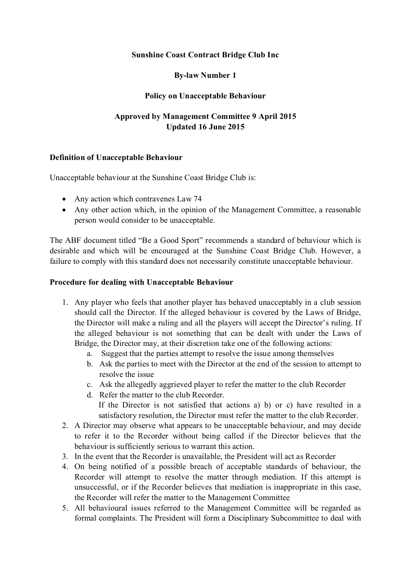## **Sunshine Coast Contract Bridge Club Inc**

# **By-law Number 1**

## **Policy on Unacceptable Behaviour**

# **Approved by Management Committee 9 April 2015 Updated 16 June 2015**

#### **Definition of Unacceptable Behaviour**

Unacceptable behaviour at the Sunshine Coast Bridge Club is:

- Any action which contravenes Law 74
- Any other action which, in the opinion of the Management Committee, a reasonable person would consider to be unacceptable.

The ABF document titled "Be a Good Sport" recommends a standard of behaviour which is desirable and which will be encouraged at the Sunshine Coast Bridge Club. However, a failure to comply with this standard does not necessarily constitute unacceptable behaviour.

#### **Procedure for dealing with Unacceptable Behaviour**

- 1. Any player who feels that another player has behaved unacceptably in a club session should call the Director. If the alleged behaviour is covered by the Laws of Bridge, the Director will make a ruling and all the players will accept the Director's ruling. If the alleged behaviour is not something that can be dealt with under the Laws of Bridge, the Director may, at their discretion take one of the following actions:
	- a. Suggest that the parties attempt to resolve the issue among themselves
	- b. Ask the parties to meet with the Director at the end of the session to attempt to resolve the issue
	- c. Ask the allegedly aggrieved player to refer the matter to the club Recorder
	- d. Refer the matter to the club Recorder.

If the Director is not satisfied that actions a) b) or c) have resulted in a satisfactory resolution, the Director must refer the matter to the club Recorder.

- 2. A Director may observe what appears to be unacceptable behaviour, and may decide to refer it to the Recorder without being called if the Director believes that the behaviour is sufficiently serious to warrant this action.
- 3. In the event that the Recorder is unavailable, the President will act as Recorder
- 4. On being notified of a possible breach of acceptable standards of behaviour, the Recorder will attempt to resolve the matter through mediation. If this attempt is unsuccessful, or if the Recorder believes that mediation is inappropriate in this case, the Recorder will refer the matter to the Management Committee
- 5. All behavioural issues referred to the Management Committee will be regarded as formal complaints. The President will form a Disciplinary Subcommittee to deal with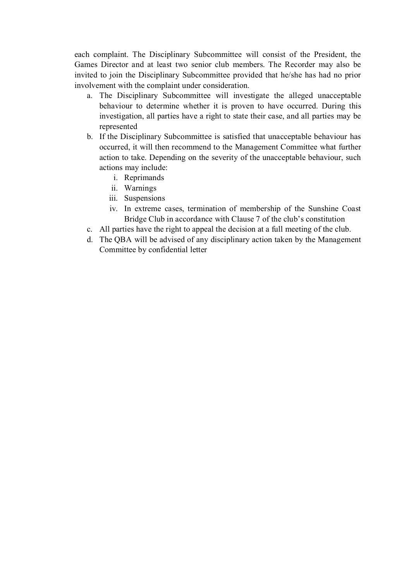each complaint. The Disciplinary Subcommittee will consist of the President, the Games Director and at least two senior club members. The Recorder may also be invited to join the Disciplinary Subcommittee provided that he/she has had no prior involvement with the complaint under consideration.

- a. The Disciplinary Subcommittee will investigate the alleged unacceptable behaviour to determine whether it is proven to have occurred. During this investigation, all parties have a right to state their case, and all parties may be represented
- b. If the Disciplinary Subcommittee is satisfied that unacceptable behaviour has occurred, it will then recommend to the Management Committee what further action to take. Depending on the severity of the unacceptable behaviour, such actions may include:
	- i. Reprimands
	- ii. Warnings
	- iii. Suspensions
	- iv. In extreme cases, termination of membership of the Sunshine Coast Bridge Club in accordance with Clause 7 of the club's constitution
- c. All parties have the right to appeal the decision at a full meeting of the club.
- d. The QBA will be advised of any disciplinary action taken by the Management Committee by confidential letter